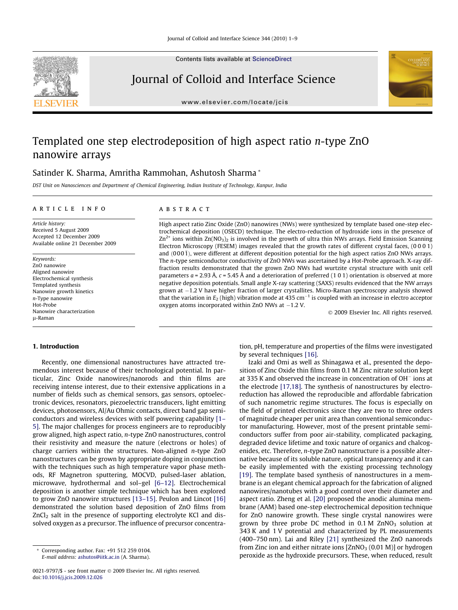

Contents lists available at [ScienceDirect](http://www.sciencedirect.com/science/journal/00219797)

## Journal of Colloid and Interface Science



[www.elsevier.com/locate/jcis](http://www.elsevier.com/locate/jcis)

# Templated one step electrodeposition of high aspect ratio n-type ZnO nanowire arrays

## Satinder K. Sharma, Amritha Rammohan, Ashutosh Sharma \*

DST Unit on Nanosciences and Department of Chemical Engineering, Indian Institute of Technology, Kanpur, India

#### article info

Article history: Received 5 August 2009 Accepted 12 December 2009 Available online 21 December 2009

Keywords: ZnO nanowire Aligned nanowire Electrochemical synthesis Templated synthesis Nanowire growth kinetics n-Type nanowire Hot-Probe Nanowire characterization l-Raman

## 1. Introduction

Recently, one dimensional nanostructures have attracted tremendous interest because of their technological potential. In particular, Zinc Oxide nanowires/nanorods and thin films are receiving intense interest, due to their extensive applications in a number of fields such as chemical sensors, gas sensors, optoelectronic devices, resonators, piezoelectric transducers, light emitting devices, photosensors, Al/Au Ohmic contacts, direct band gap semiconductors and wireless devices with self powering capability [\[1–](#page-8-0) [5\]](#page-8-0). The major challenges for process engineers are to reproducibly grow aligned, high aspect ratio, n-type ZnO nanostructures, control their resistivity and measure the nature (electrons or holes) of charge carriers within the structures. Non-aligned n-type ZnO nanostructures can be grown by appropriate doping in conjunction with the techniques such as high temperature vapor phase methods, RF Magnetron sputtering, MOCVD, pulsed-laser ablation, microwave, hydrothermal and sol–gel [\[6–12\]](#page-8-0). Electrochemical deposition is another simple technique which has been explored to grow ZnO nanowire structures [\[13–15\]](#page-8-0). Peulon and Lincot [\[16\]](#page-8-0) demonstrated the solution based deposition of ZnO films from  $ZnCl<sub>2</sub>$  salt in the presence of supporting electrolyte KCl and dissolved oxygen as a precursor. The influence of precursor concentra-

#### abstract

High aspect ratio Zinc Oxide (ZnO) nanowires (NWs) were synthesized by template based one-step electrochemical deposition (OSECD) technique. The electro-reduction of hydroxide ions in the presence of  $Zn^{2+}$  ions within  $Zn(NO_3)$  is involved in the growth of ultra thin NWs arrays. Field Emission Scanning Electron Microscopy (FESEM) images revealed that the growth rates of different crystal faces, (0 0 0 1) and  $(000\bar{1})$ , were different at different deposition potential for the high aspect ratios ZnO NWs arrays. The n-type semiconductor conductivity of ZnO NWs was ascertained by a Hot-Probe approach. X-ray diffraction results demonstrated that the grown ZnO NWs had wurtzite crystal structure with unit cell parameters  $a = 2.93$  Å,  $c = 5.45$  Å and a deterioration of preferred (1 0 1) orientation is observed at more negative deposition potentials. Small angle X-ray scattering (SAXS) results evidenced that the NW arrays grown at  $-1.2$  V have higher fraction of larger crystallites. Micro-Raman spectroscopy analysis showed that the variation in  $E_2$  (high) vibration mode at 435 cm<sup>-1</sup> is coupled with an increase in electro acceptor oxygen atoms incorporated within  $ZnO$  NWs at  $-1.2$  V.

- 2009 Elsevier Inc. All rights reserved.

tion, pH, temperature and properties of the films were investigated by several techniques [\[16\]](#page-8-0).

Izaki and Omi as well as Shinagawa et al., presented the deposition of Zinc Oxide thin films from 0.1 M Zinc nitrate solution kept at 335 K and observed the increase in concentration of OH $^-$  ions at the electrode [\[17,18\]](#page-8-0). The synthesis of nanostructures by electroreduction has allowed the reproducible and affordable fabrication of such nanometric regime structures. The focus is especially on the field of printed electronics since they are two to three orders of magnitude cheaper per unit area than conventional semiconductor manufacturing. However, most of the present printable semiconductors suffer from poor air-stability, complicated packaging, degraded device lifetime and toxic nature of organics and chalcogenides, etc. Therefore, n-type ZnO nanostructure is a possible alternative because of its soluble nature, optical transparency and it can be easily implemented with the existing processing technology [\[19\]](#page-8-0). The template based synthesis of nanostructures in a membrane is an elegant chemical approach for the fabrication of aligned nanowires/nanotubes with a good control over their diameter and aspect ratio. Zheng et al. [\[20\]](#page-8-0) proposed the anodic alumina membrane (AAM) based one-step electrochemical deposition technique for ZnO nanowire growth. These single crystal nanowires were grown by three probe DC method in  $0.1$  M ZnNO<sub>3</sub> solution at 343 K and 1 V potential and characterized by PL measurements (400–750 nm). Lai and Riley [\[21\]](#page-8-0) synthesized the ZnO nanorods from Zinc ion and either nitrate ions  $[ZnNO<sub>3</sub> (0.01 M)]$  or hydrogen peroxide as the hydroxide precursors. These, when reduced, result

Corresponding author. Fax: +91 512 259 0104.

E-mail address: [ashutos@iitk.ac.in](mailto:ashutos@iitk.ac.in) (A. Sharma).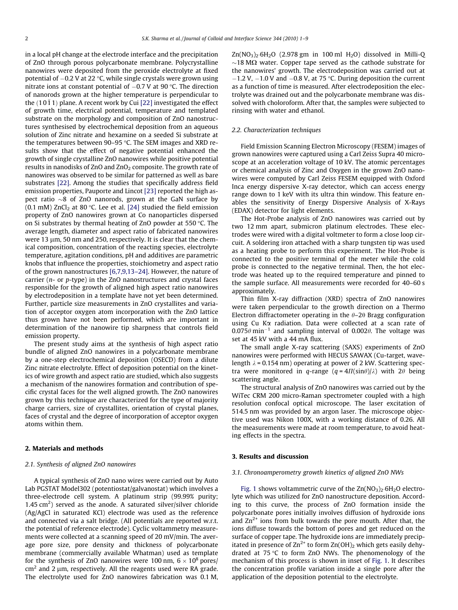in a local pH change at the electrode interface and the precipitation of ZnO through porous polycarbonate membrane. Polycrystalline nanowires were deposited from the peroxide electrolyte at fixed potential of –0.2 V at 22 °C, while single crystals were grown using nitrate ions at constant potential of  $-0.7$  V at 90 °C. The direction of nanorods grown at the higher temperature is perpendicular to the  $(10\bar{1}1)$  plane. A recent work by Cui [\[22\]](#page-8-0) investigated the effect of growth time, electrical potential, temperature and templated substrate on the morphology and composition of ZnO nanostructures synthesised by electrochemical deposition from an aqueous solution of Zinc nitrate and hexamine on a seeded Si substrate at the temperatures between  $90-95$  °C. The SEM images and XRD results show that the effect of negative potential enhanced the growth of single crystalline ZnO nanowires while positive potential results in nanodisks of ZnO and ZnO<sub>2</sub> composite. The growth rate of nanowires was observed to be similar for patterned as well as bare substrates [\[22\]](#page-8-0). Among the studies that specifically address field emission properties, Pauporte and Lincot [\[23\]](#page-8-0) reported the high aspect ratio  $\sim$ 8 of ZnO nanorods, grown at the GaN surface by (0.1 mM) ZnCl<sub>2</sub> at 80 °C. Lee et al. [\[24\]](#page-8-0) studied the field emission property of ZnO nanowires grown at Co nanoparticles dispersed on Si substrates by thermal heating of ZnO powder at 550 $\degree$ C. The average length, diameter and aspect ratio of fabricated nanowires were 13  $\mu$ m, 50 nm and 250, respectively. It is clear that the chemical composition, concentration of the reacting species, electrolyte temperature, agitation conditions, pH and additives are parametric knobs that influence the properties, stoichiometry and aspect ratio of the grown nanostructures [\[6,7,9,13–24\]](#page-8-0). However, the nature of carrier ( $n$ - or  $p$ -type) in the ZnO nanostructures and crystal faces responsible for the growth of aligned high aspect ratio nanowires by electrodeposition in a template have not yet been determined. Further, particle size measurements in ZnO crystallites and variation of acceptor oxygen atom incorporation with the ZnO lattice thus grown have not been performed, which are important in determination of the nanowire tip sharpness that controls field emission property.

The present study aims at the synthesis of high aspect ratio bundle of aligned ZnO nanowires in a polycarbonate membrane by a one-step electrochemical deposition (OSECD) from a dilute Zinc nitrate electrolyte. Effect of deposition potential on the kinetics of wire growth and aspect ratio are studied, which also suggests a mechanism of the nanowires formation and contribution of specific crystal faces for the well aligned growth. The ZnO nanowires grown by this technique are characterized for the type of majority charge carriers, size of crystallites, orientation of crystal planes, faces of crystal and the degree of incorporation of acceptor oxygen atoms within them.

#### 2. Materials and methods

#### 2.1. Synthesis of aligned ZnO nanowires

A typical synthesis of ZnO nano wires were carried out by Auto Lab PGSTAT Model302 (potentiostat/galvanostat) which involves a three-electrode cell system. A platinum strip (99.99% purity; 1.45  $\text{cm}^2$ ) served as the anode. A saturated silver/silver chloride (Ag/AgCl in saturated KCl) electrode was used as the reference and connected via a salt bridge. (All potentials are reported w.r.t. the potential of reference electrode). Cyclic voltammetry measurements were collected at a scanning speed of 20 mV/min. The average pore size, pore density and thickness of polycarbonate membrane (commercially available Whatman) used as template for the synthesis of ZnO nanowires were 100 nm,  $6 \times 10^8$  pores/  $cm<sup>2</sup>$  and 2 µm, respectively. All the reagents used were RA grade. The electrolyte used for ZnO nanowires fabrication was 0.1 M,  $Zn(NO_3)$ . 6H<sub>2</sub>O (2.978 gm in 100 ml H<sub>2</sub>O) dissolved in Milli-O  $\sim$ 18 M $\Omega$  water. Copper tape served as the cathode substrate for the nanowires' growth. The electrodeposition was carried out at  $-1.2$  V,  $-1.0$  V and  $-0.8$  V, at 75 °C. During deposition the current as a function of time is measured. After electrodeposition the electrolyte was drained out and the polycarbonate membrane was dissolved with choloroform. After that, the samples were subjected to rinsing with water and ethanol.

#### 2.2. Characterization techniques

Field Emission Scanning Electron Microscopy (FESEM) images of grown nanowires were captured using a Carl Zeiss Supra 40 microscope at an acceleration voltage of 10 kV. The atomic percentages or chemical analysis of Zinc and Oxygen in the grown ZnO nanowires were computed by Carl Zeiss FESEM equipped with Oxford Inca energy dispersive X-ray detector, which can access energy range down to 1 keV with its ultra thin window. This feature enables the sensitivity of Energy Dispersive Analysis of X-Rays (EDAX) detector for light elements.

The Hot-Probe analysis of ZnO nanowires was carried out by two 12 mm apart, submicron platinum electrodes. These electrodes were wired with a digital voltmeter to form a close loop circuit. A soldering iron attached with a sharp tungsten tip was used as a heating probe to perform this experiment. The Hot-Probe is connected to the positive terminal of the meter while the cold probe is connected to the negative terminal. Then, the hot electrode was heated up to the required temperature and pinned to the sample surface. All measurements were recorded for 40–60 s approximately.

Thin film X-ray diffraction (XRD) spectra of ZnO nanowires were taken perpendicular to the growth direction on a Thermo Electron diffractometer operating in the  $\theta$ –2 $\theta$  Bragg configuration using Cu Ka radiation. Data were collected at a scan rate of  $0.075\theta$  min<sup>-1</sup> and sampling interval of 0.002 $\theta$ . The voltage was set at 45 kV with a 44 mA flux.

The small angle X-ray scattering (SAXS) experiments of ZnO nanowires were performed with HECUS SAWAX (Cu-target, wavelength  $\lambda$  = 0.154 nm) operating at power of 2 kW. Scattering spectra were monitored in q-range  $(q = 4\Pi(\sin\theta)/\lambda)$  with  $2\theta$  being scattering angle.

The structural analysis of ZnO nanowires was carried out by the WiTec CRM 200 micro-Raman spectrometer coupled with a high resolution confocal optical microscope. The laser excitation of 514.5 nm was provided by an argon laser. The microscope objective used was Nikon 100X, with a working distance of 0.26. All the measurements were made at room temperature, to avoid heating effects in the spectra.

#### 3. Results and discussion

#### 3.1. Chronoamperometry growth kinetics of aligned ZnO NWs

[Fig. 1](#page-2-0) shows voltammetric curve of the  $Zn(NO<sub>3</sub>)<sub>2</sub>·6H<sub>2</sub>O$  electrolyte which was utilized for ZnO nanostructure deposition. According to this curve, the process of ZnO formation inside the polycarbonate pores initially involves diffusion of hydroxide ions and  $\text{Zn}^{2+}$  ions from bulk towards the pore mouth. After that, the ions diffuse towards the bottom of pores and get reduced on the surface of copper tape. The hydroxide ions are immediately precipitated in presence of  $\text{Zn}^{2+}$  to form  $\text{Zn}(\text{OH})_2$  which gets easily dehydrated at  $75^{\circ}$ C to form ZnO NWs. The phenomenology of the mechanism of this process is shown in inset of [Fig. 1.](#page-2-0) It describes the concentration profile variation inside a single pore after the application of the deposition potential to the electrolyte.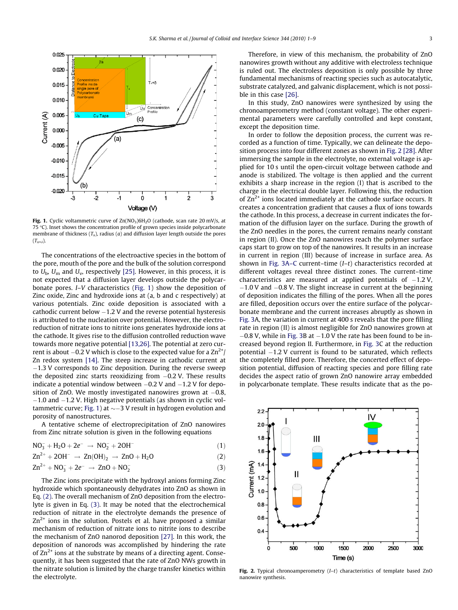<span id="page-2-0"></span>

Fig. 1. Cyclic voltammetric curve of  $Zn(NO<sub>3</sub>)6H<sub>2</sub>O$  (cathode, scan rate 20 mV/s, at 75  $°C$ ). Inset shows the concentration profile of grown species inside polycarbonate membrane of thickness  $(T_x)$ , radius  $(a)$  and diffusion layer length outside the pores  $(T_{x+\delta}).$ 

The concentrations of the electroactive species in the bottom of the pore, mouth of the pore and the bulk of the solution correspond to  $U_{\rm b}$ ,  $U_{\rm m}$  and  $U_{\rm v}$ , respectively [\[25\]](#page-8-0). However, in this process, it is not expected that a diffusion layer develops outside the polycarbonate pores. I–V characteristics (Fig. 1) show the deposition of Zinc oxide, Zinc and hydroxide ions at (a, b and c respectively) at various potentials. Zinc oxide deposition is associated with a cathodic current below -1.2 V and the reverse potential hysteresis is attributed to the nucleation over potential. However, the electroreduction of nitrate ions to nitrite ions generates hydroxide ions at the cathode. It gives rise to the diffusion controlled reduction wave towards more negative potential [\[13,26\]](#page-8-0). The potential at zero current is about  $-0.2$  V which is close to the expected value for a Zn $^{2+}/$ Zn redox system [\[14\].](#page-8-0) The steep increase in cathodic current at -1.3 V corresponds to Zinc deposition. During the reverse sweep the deposited zinc starts reoxidizing from -0.2 V. These results indicate a potential window between –0.2 V and –1.2 V for deposition of ZnO. We mostly investigated nanowires grown at  $-0.8,$ -1.0 and -1.2 V. High negative potentials (as shown in cyclic voltammetric curve; Fig. 1) at  $\sim$ –3 V result in hydrogen evolution and porosity of nanostructures.

A tentative scheme of electroprecipitation of ZnO nanowires from Zinc nitrate solution is given in the following equations

$$
NO_3^- + H_2O + 2e^- \rightarrow NO_2^- + 2OH^- \tag{1}
$$

$$
Zn^{2+} + 2OH^{-} \rightarrow Zn(OH)_{2} \rightarrow ZnO + H_{2}O
$$
 (2)

$$
Zn^{2+} + NO_3^- + 2e^- \rightarrow ZnO + NO_2^- \tag{3}
$$

The Zinc ions precipitate with the hydroxyl anions forming Zinc hydroxide which spontaneously dehydrates into ZnO as shown in Eq. (2). The overall mechanism of ZnO deposition from the electrolyte is given in Eq. (3). It may be noted that the electrochemical reduction of nitrate in the electrolyte demands the presence of  $Zn^{2+}$  ions in the solution. Postels et al. have proposed a similar mechanism of reduction of nitrate ions to nitrite ions to describe the mechanism of ZnO nanorod deposition [\[27\].](#page-8-0) In this work, the deposition of nanorods was accomplished by hindering the rate of  $\text{Zn}^{2+}$  ions at the substrate by means of a directing agent. Consequently, it has been suggested that the rate of ZnO NWs growth in the nitrate solution is limited by the charge transfer kinetics within the electrolyte.

Therefore, in view of this mechanism, the probability of ZnO nanowires growth without any additive with electroless technique is ruled out. The electroless deposition is only possible by three fundamental mechanisms of reacting species such as autocatalytic, substrate catalyzed, and galvanic displacement, which is not possible in this case [\[26\].](#page-8-0)

In this study, ZnO nanowires were synthesized by using the chronoamperometry method (constant voltage). The other experimental parameters were carefully controlled and kept constant, except the deposition time.

In order to follow the deposition process, the current was recorded as a function of time. Typically, we can delineate the deposition process into four different zones as shown in Fig. 2 [\[28\]](#page-8-0). After immersing the sample in the electrolyte, no external voltage is applied for 10 s until the open-circuit voltage between cathode and anode is stabilized. The voltage is then applied and the current exhibits a sharp increase in the region (I) that is ascribed to the charge in the electrical double layer. Following this, the reduction of  $Zn^{2+}$  ions located immediately at the cathode surface occurs. It creates a concentration gradient that causes a flux of ions towards the cathode. In this process, a decrease in current indicates the formation of the diffusion layer on the surface. During the growth of the ZnO needles in the pores, the current remains nearly constant in region (II). Once the ZnO nanowires reach the polymer surface caps start to grow on top of the nanowires. It results in an increase in current in region (III) because of increase in surface area. As shown in [Fig. 3A–C](#page-3-0) current–time (I–t) characteristics recorded at different voltages reveal three distinct zones. The current–time characteristics are measured at applied potentials of  $-1.2$  V,  $-1.0$  V and  $-0.8$  V. The slight increase in current at the beginning of deposition indicates the filling of the pores. When all the pores are filled, deposition occurs over the entire surface of the polycarbonate membrane and the current increases abruptly as shown in [Fig. 3](#page-3-0)A, the variation in current at 400 s reveals that the pore filling rate in region (II) is almost negligible for ZnO nanowires grown at  $-0.8$  V, while in [Fig. 3](#page-3-0)B at  $-1.0$  V the rate has been found to be increased beyond region II. Furthermore, in [Fig. 3](#page-3-0)C at the reduction potential -1.2 V current is found to be saturated, which reflects the completely filled pore. Therefore, the concerted effect of deposition potential, diffusion of reacting species and pore filling rate decides the aspect ratio of grown ZnO nanowire array embedded in polycarbonate template. These results indicate that as the po-



Fig. 2. Typical chronoamperometry  $(I-t)$  characteristics of template based ZnO nanowire synthesis.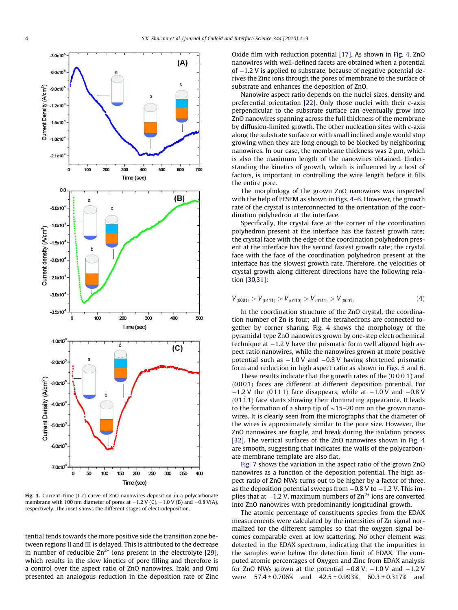<span id="page-3-0"></span>

Fig. 3. Current–time (I–t) curve of ZnO nanowires deposition in a polycarbonate membrane with 100 nm diameter of pores at  $-1.2$  V (C),  $-1.0$  V (B) and  $-0.8$  V(A), respectively. The inset shows the different stages of electrodeposition.

tential tends towards the more positive side the transition zone between regions II and III is delayed. This is attributed to the decrease in number of reducible  $Zn^{2+}$  ions present in the electrolyte [\[29\],](#page-8-0) which results in the slow kinetics of pore filling and therefore is a control over the aspect ratio of ZnO nanowires. Izaki and Omi presented an analogous reduction in the deposition rate of Zinc

Oxide film with reduction potential [\[17\].](#page-8-0) As shown in [Fig. 4,](#page-4-0) ZnO nanowires with well-defined facets are obtained when a potential of  $-1.2$  V is applied to substrate, because of negative potential derives the Zinc ions through the pores of membrane to the surface of substrate and enhances the deposition of ZnO.

Nanowire aspect ratio depends on the nuclei sizes, density and preferential orientation [\[22\].](#page-8-0) Only those nuclei with their c-axis perpendicular to the substrate surface can eventually grow into ZnO nanowires spanning across the full thickness of the membrane by diffusion-limited growth. The other nucleation sites with c-axis along the substrate surface or with small inclined angle would stop growing when they are long enough to be blocked by neighboring nanowires. In our case, the membrane thickness was 2 µm, which is also the maximum length of the nanowires obtained. Understanding the kinetics of growth, which is influenced by a host of factors, is important in controlling the wire length before it fills the entire pore.

The morphology of the grown ZnO nanowires was inspected with the help of FESEM as shown in [Figs. 4–6.](#page-4-0) However, the growth rate of the crystal is interconnected to the orientation of the coordination polyhedron at the interface.

Specifically, the crystal face at the corner of the coordination polyhedron present at the interface has the fastest growth rate; the crystal face with the edge of the coordination polyhedron present at the interface has the second fastest growth rate; the crystal face with the face of the coordination polyhedron present at the interface has the slowest growth rate. Therefore, the velocities of crystal growth along different directions have the following relation [\[30,31\]](#page-8-0):

$$
V_{\langle 0001\rangle} > V_{\langle 01\overline{1}1\rangle} > V_{\langle 01\overline{1}0\rangle} > V_{\langle 01\overline{1}1\rangle} > V_{\langle 000\overline{1}\rangle}
$$
 (4)

In the coordination structure of the ZnO crystal, the coordination number of Zn is four; all the tetrahedrons are connected together by corner sharing. [Fig. 4](#page-4-0) shows the morphology of the pyramidal type ZnO nanowires grown by one-step electrochemical  $t$ echnique at  $-1.2$  V have the prismatic form well aligned high aspect ratio nanowires, while the nanowires grown at more positive potential such as  $-1.0$  V and  $-0.8$  V having shortened prismatic form and reduction in high aspect ratio as shown in [Figs. 5 and 6.](#page-5-0)

These results indicate that the growth rates of the (0 0 0 1) and  $(000\bar{1})$  faces are different at different deposition potential. For  $-1.2$  V the  $(01\overline{1}\overline{1})$  face disappears, while at  $-1.0$  V and  $-0.8$  V  $(01\bar{1}1)$  face starts showing their dominating appearance. It leads to the formation of a sharp tip of  $\sim$ 15–20 nm on the grown nanowires. It is clearly seen from the micrographs that the diameter of the wires is approximately similar to the pore size. However, the ZnO nanowires are fragile, and break during the isolation process [\[32\]](#page-8-0). The vertical surfaces of the ZnO nanowires shown in [Fig. 4](#page-4-0) are smooth, suggesting that indicates the walls of the polycarbonate membrane template are also flat.

[Fig. 7](#page-6-0) shows the variation in the aspect ratio of the grown ZnO nanowires as a function of the deposition potential. The high aspect ratio of ZnO NWs turns out to be higher by a factor of three, as the deposition potential sweeps from  $-0.8$  V to  $-1.2$  V. This implies that at  $-1.2$  V, maximum numbers of  $\text{Zn}^{2+}$  ions are converted into ZnO nanowires with predominantly longitudinal growth.

The atomic percentage of constituents species from the EDAX measurements were calculated by the intensities of Zn signal normalized for the different samples so that the oxygen signal becomes comparable even at low scattering. No other element was detected in the EDAX spectrum, indicating that the impurities in the samples were below the detection limit of EDAX. The computed atomic percentages of Oxygen and Zinc from EDAX analysis for ZnO NWs grown at the potential  $-0.8$  V,  $-1.0$  V and  $-1.2$  V were  $57.4 \pm 0.706\%$  and  $42.5 \pm 0.993\%$ ,  $60.3 \pm 0.317\%$  and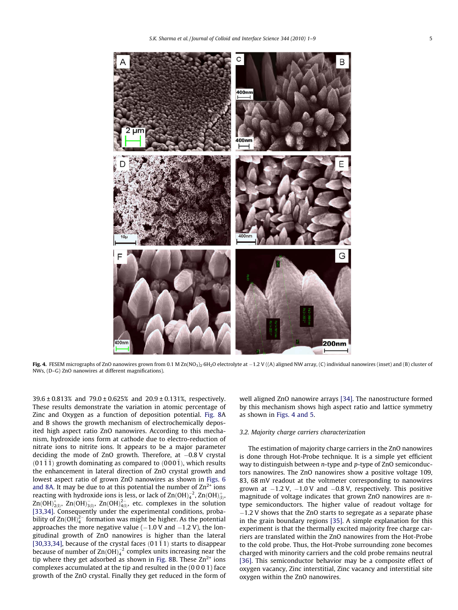<span id="page-4-0"></span>

**Fig. 4.** FESEM micrographs of ZnO nanowires grown from 0.1 M Zn(NO3)2·6H2O electrolyte at  $-1.2$  V ((A) aligned NW array, (C) individual nanowires (inset) and (B) cluster of NWs, (D–G) ZnO nanowires at different magnifications).

39.6 ± 0.813% and 79.0 ± 0.625% and 20.9 ± 0.131%, respectively. These results demonstrate the variation in atomic percentage of Zinc and Oxygen as a function of deposition potential. [Fig. 8](#page-6-0)A and B shows the growth mechanism of electrochemically deposited high aspect ratio ZnO nanowires. According to this mechanism, hydroxide ions form at cathode due to electro-reduction of nitrate ions to nitrite ions. It appears to be a major parameter deciding the mode of ZnO growth. Therefore, at –0.8 V crystal  $(01\bar{1}\bar{1})$  growth dominating as compared to  $(000\bar{1})$ , which results the enhancement in lateral direction of ZnO crystal growth and lowest aspect ratio of grown ZnO nanowires as shown in [Figs. 6](#page-5-0) [and 8A](#page-5-0). It may be due to at this potential the number of  $\text{Zn}^{2+}$  ions reacting with hydroxide ions is less, or lack of Zn(OH) $_4^{-2}$ , Zn(OH) $_{(\rm l)}^+$ ,  $\mathsf{Zn}(\mathsf{OH})^{\circ}_{\mathsf{2}(\mathsf{I})}, \ \mathsf{Zn}(\mathsf{OH})^{\mathsf{2-}}_{\mathsf{4}(\mathsf{I})}, \ \mathsf{etc.} \ \text{complexes in the solution}$ [\[33,34\]](#page-8-0). Consequently under the experimental conditions, probability of Zn $(OH)_4^{2-}$  formation was might be higher. As the potential approaches the more negative value  $(-1.0 V$  and  $-1.2 V)$ , the longitudinal growth of ZnO nanowires is higher than the lateral [\[30,33,34\],](#page-8-0) because of the crystal faces  $(01\bar{1}1)$  starts to disappear because of number of Zn $(OH)_4^{-2}$  complex units increasing near the tip where they get adsorbed as shown in [Fig. 8](#page-6-0)B. These  $Zn^{2+}$  ions complexes accumulated at the tip and resulted in the (0 0 0 1) face growth of the ZnO crystal. Finally they get reduced in the form of well aligned ZnO nanowire arrays [\[34\]](#page-8-0). The nanostructure formed by this mechanism shows high aspect ratio and lattice symmetry as shown in Figs. 4 and 5.

#### 3.2. Majority charge carriers characterization

The estimation of majority charge carriers in the ZnO nanowires is done through Hot-Probe technique. It is a simple yet efficient way to distinguish between *n*-type and *p*-type of ZnO semiconductors nanowires. The ZnO nanowires show a positive voltage 109, 83, 68 mV readout at the voltmeter corresponding to nanowires grown at  $-1.2$  V,  $-1.0$  V and  $-0.8$  V, respectively. This positive magnitude of voltage indicates that grown ZnO nanowires are ntype semiconductors. The higher value of readout voltage for -1.2 V shows that the ZnO starts to segregate as a separate phase in the grain boundary regions [\[35\]](#page-8-0). A simple explanation for this experiment is that the thermally excited majority free charge carriers are translated within the ZnO nanowires from the Hot-Probe to the cold probe. Thus, the Hot-Probe surrounding zone becomes charged with minority carriers and the cold probe remains neutral [\[36\]](#page-8-0). This semiconductor behavior may be a composite effect of oxygen vacancy, Zinc interstitial, Zinc vacancy and interstitial site oxygen within the ZnO nanowires.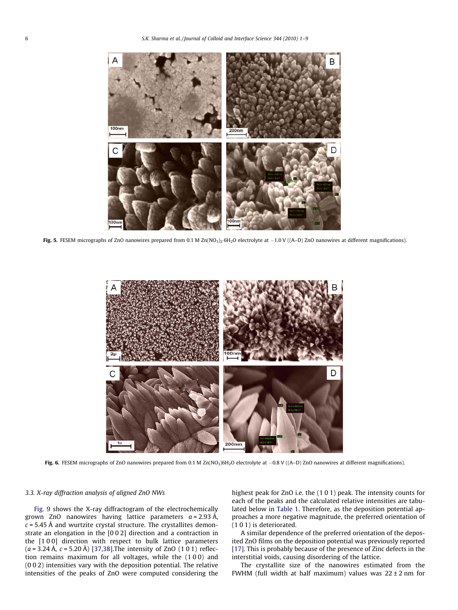<span id="page-5-0"></span>

**Fig. 5.** FESEM micrographs of ZnO nanowires prepared from 0.1 M Zn(NO<sub>3)2</sub>·6H<sub>2</sub>O electrolyte at  $-1.0$  V ((A–D) ZnO nanowires at different magnifications).



**Fig. 6.** FESEM micrographs of ZnO nanowires prepared from 0.1 M Zn(NO<sub>3</sub>)6H<sub>2</sub>O electrolyte at  $-0.8$  V ((A–D) ZnO nanowires at different magnifications).

## 3.3. X-ray diffraction analysis of aligned ZnO NWs

[Fig. 9](#page-6-0) shows the X-ray diffractogram of the electrochemically grown ZnO nanowires having lattice parameters  $a = 2.93$  Å,  $c = 5.45$  Å and wurtzite crystal structure. The crystallites demonstrate an elongation in the [0 0 2] direction and a contraction in the [1 0 0] direction with respect to bulk lattice parameters  $(a = 3.24 \text{ Å}, c = 5.20 \text{ Å})$  [\[37,38\]](#page-8-0). The intensity of ZnO (101) reflection remains maximum for all voltages, while the (1 0 0) and (0 0 2) intensities vary with the deposition potential. The relative intensities of the peaks of ZnO were computed considering the highest peak for ZnO i.e. the (1 0 1) peak. The intensity counts for each of the peaks and the calculated relative intensities are tabulated below in [Table 1](#page-7-0). Therefore, as the deposition potential approaches a more negative magnitude, the preferred orientation of (1 0 1) is deteriorated.

A similar dependence of the preferred orientation of the deposited ZnO films on the deposition potential was previously reported [\[17\]](#page-8-0). This is probably because of the presence of Zinc defects in the interstitial voids, causing disordering of the lattice.

The crystallite size of the nanowires estimated from the FWHM (full width at half maximum) values was  $22 \pm 2$  nm for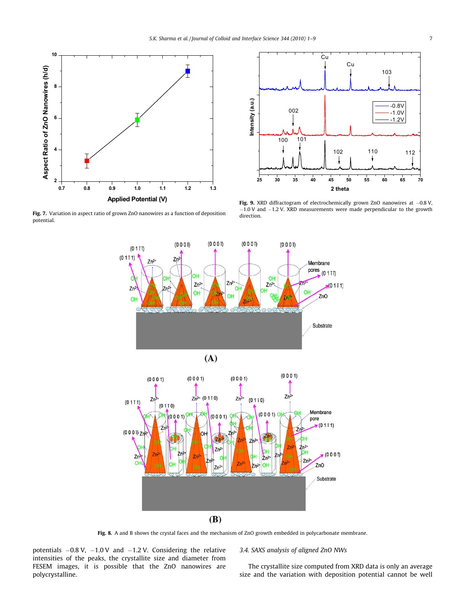<span id="page-6-0"></span>

Fig. 7. Variation in aspect ratio of grown ZnO nanowires as a function of deposition potential.



**Fig. 9.** XRD diffractogram of electrochemically grown ZnO nanowires at  $-0.8$  V  $-1.0$  V and  $-1.2$  V. XRD measurements were made perpendicular to the growth direction.



Fig. 8. A and B shows the crystal faces and the mechanism of ZnO growth embedded in polycarbonate membrane.

potentials  $-0.8$  V,  $-1.0$  V and  $-1.2$  V. Considering the relative intensities of the peaks, the crystallite size and diameter from FESEM images, it is possible that the ZnO nanowires are polycrystalline.

## 3.4. SAXS analysis of aligned ZnO NWs

The crystallite size computed from XRD data is only an average size and the variation with deposition potential cannot be well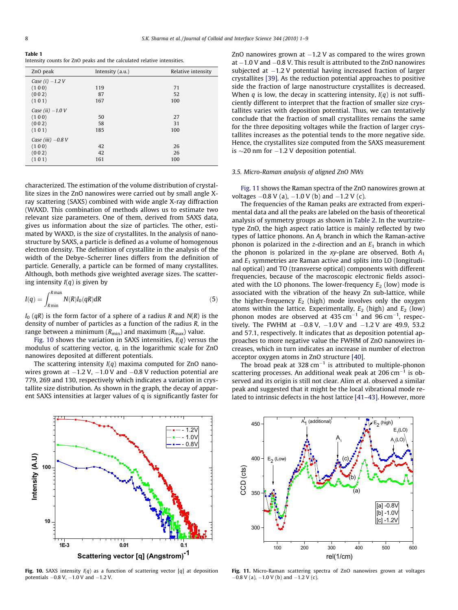<span id="page-7-0"></span>Table 1 Intensity counts for ZnO peaks and the calculated relative intensities.

| ZnO peak            | Intensity $(a.u.)$ | Relative intensity |  |
|---------------------|--------------------|--------------------|--|
| Case $(i) -1.2 V$   |                    |                    |  |
| (100)               | 119                | 71                 |  |
| (002)               | 87                 | 52                 |  |
| (101)               | 167                | 100                |  |
| Case (ii) $-1.0$ V  |                    |                    |  |
| (100)               | 50                 | 27                 |  |
| (002)               | 58                 | 31                 |  |
| (101)               | 185                | 100                |  |
| Case (iii) $-0.8$ V |                    |                    |  |
| (100)               | 42                 | 26                 |  |
| (002)               | 42                 | 26                 |  |
| (101)               | 161                | 100                |  |

characterized. The estimation of the volume distribution of crystallite sizes in the ZnO nanowires were carried out by small angle Xray scattering (SAXS) combined with wide angle X-ray diffraction (WAXD. This combination of methods allows us to estimate two relevant size parameters. One of them, derived from SAXS data, gives us information about the size of particles. The other, estimated by WAXD, is the size of crystallites. In the analysis of nanostructure by SAXS, a particle is defined as a volume of homogenous electron density. The definition of crystallite in the analysis of the width of the Debye–Scherrer lines differs from the definition of particle. Generally, a particle can be formed of many crystallites. Although, both methods give weighted average sizes. The scattering intensity  $I(q)$  is given by

$$
I(q) = \int_{R \min}^{R \max} N(R) I_0(qR) dR \tag{5}
$$

 $I_0$  (qR) is the form factor of a sphere of a radius R and  $N(R)$  is the density of number of particles as a function of the radius R, in the range between a minimum ( $R_{min}$ ) and maximum ( $R_{max}$ ) value.

Fig. 10 shows the variation in SAXS intensities,  $I(q)$  versus the modulus of scattering vector, q, in the logarithmic scale for ZnO nanowires deposited at different potentials.

The scattering intensity  $I(q)$  maxima computed for ZnO nanowires grown at  $-1.2$  V,  $-1.0$  V and  $-0.8$  V reduction potential are 779, 269 and 130, respectively which indicates a variation in crystallite size distribution. As shown in the graph, the decay of apparent SAXS intensities at larger values of q is significantly faster for



Fig. 10. SAXS intensity  $I(q)$  as a function of scattering vector  $[q]$  at deposition potentials -0.8 V, -1.0 V and -1.2 V.

ZnO nanowires grown at  $-1.2$  V as compared to the wires grown at  $-1.0$  V and  $-0.8$  V. This result is attributed to the ZnO nanowires subjected at  $-1.2$  V potential having increased fraction of larger crystallites [\[39\].](#page-8-0) As the reduction potential approaches to positive side the fraction of large nanostructure crystallites is decreased. When q is low, the decay in scattering intensity,  $I(q)$  is not sufficiently different to interpret that the fraction of smaller size crystallites varies with deposition potential. Thus, we can tentatively conclude that the fraction of small crystallites remains the same for the three depositing voltages while the fraction of larger crystallites increases as the potential tends to the more negative side. Hence, the crystallites size computed from the SAXS measurement is  $\sim$ 20 nm for  $-1.2$  V deposition potential.

#### 3.5. Micro-Raman analysis of aligned ZnO NWs

Fig. 11 shows the Raman spectra of the ZnO nanowires grown at voltages  $-0.8$  V (a),  $-1.0$  V (b) and  $-1.2$  V (c).

The frequencies of the Raman peaks are extracted from experimental data and all the peaks are labeled on the basis of theoretical analysis of symmetry groups as shown in [Table 2](#page-8-0). In the wurtzitetype ZnO, the high aspect ratio lattice is mainly reflected by two types of lattice phonons. An  $A_1$  branch in which the Raman-active phonon is polarized in the z-direction and an  $E_1$  branch in which the phonon is polarized in the xy-plane are observed. Both  $A_1$ and  $E_1$  symmetries are Raman active and splits into LO (longitudinal optical) and TO (transverse optical) components with different frequencies, because of the macroscopic electronic fields associated with the LO phonons. The lower-frequency  $E_2$  (low) mode is associated with the vibration of the heavy Zn sub-lattice, while the higher-frequency  $E_2$  (high) mode involves only the oxygen atoms within the lattice. Experimentally,  $E_2$  (high) and  $E_2$  (low) phonon modes are observed at  $435 \text{ cm}^{-1}$  and  $96 \text{ cm}^{-1}$ , respectively. The FWHM at  $-0.8$  V,  $-1.0$  V and  $-1.2$  V are 49.9, 53.2 and 57.1, respectively. It indicates that as deposition potential approaches to more negative value the FWHM of ZnO nanowires increases, which in turn indicates an increase in number of electron acceptor oxygen atoms in ZnO structure [\[40\].](#page-8-0)

The broad peak at 328  $cm^{-1}$  is attributed to multiple-phonon scattering processes. An additional weak peak at  $206 \text{ cm}^{-1}$  is observed and its origin is still not clear. Alim et al. observed a similar peak and suggested that it might be the local vibrational mode related to intrinsic defects in the host lattice [\[41–43\]](#page-8-0). However, more



Fig. 11. Micro-Raman scattering spectra of ZnO nanowires grown at voltages  $-0.8$  V (a),  $-1.0$  V (b) and  $-1.2$  V (c).